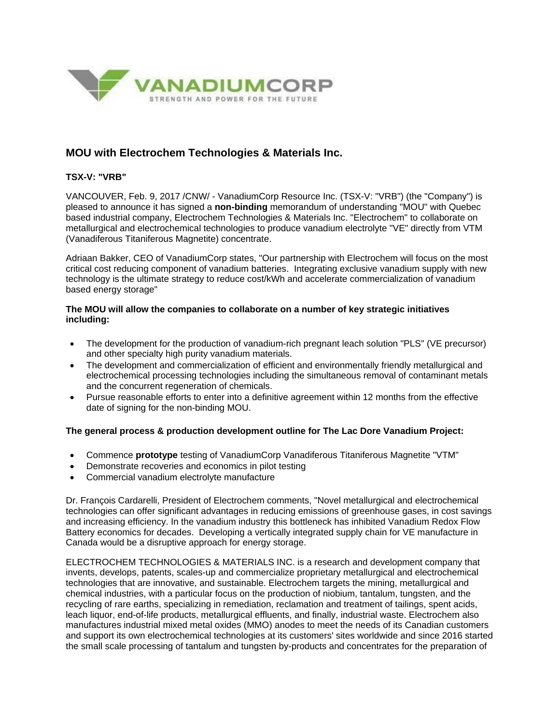

# **MOU with Electrochem Technologies & Materials Inc.**

## **TSX-V: "VRB"**

VANCOUVER, Feb. 9, 2017 /CNW/ - VanadiumCorp Resource Inc. (TSX-V: "VRB") (the "Company") is pleased to announce it has signed a **non-binding** memorandum of understanding "MOU" with Quebec based industrial company, Electrochem Technologies & Materials Inc. "Electrochem" to collaborate on metallurgical and electrochemical technologies to produce vanadium electrolyte "VE" directly from VTM (Vanadiferous Titaniferous Magnetite) concentrate.

Adriaan Bakker, CEO of VanadiumCorp states, "Our partnership with Electrochem will focus on the most critical cost reducing component of vanadium batteries. Integrating exclusive vanadium supply with new technology is the ultimate strategy to reduce cost/kWh and accelerate commercialization of vanadium based energy storage"

### **The MOU will allow the companies to collaborate on a number of key strategic initiatives including:**

- The development for the production of vanadium-rich pregnant leach solution "PLS" (VE precursor) and other specialty high purity vanadium materials.
- The development and commercialization of efficient and environmentally friendly metallurgical and electrochemical processing technologies including the simultaneous removal of contaminant metals and the concurrent regeneration of chemicals.
- Pursue reasonable efforts to enter into a definitive agreement within 12 months from the effective date of signing for the non-binding MOU.

#### **The general process & production development outline for The Lac Dore Vanadium Project:**

- Commence **prototype** testing of VanadiumCorp Vanadiferous Titaniferous Magnetite "VTM"
- Demonstrate recoveries and economics in pilot testing
- Commercial vanadium electrolyte manufacture

Dr. François Cardarelli, President of Electrochem comments, "Novel metallurgical and electrochemical technologies can offer significant advantages in reducing emissions of greenhouse gases, in cost savings and increasing efficiency. In the vanadium industry this bottleneck has inhibited Vanadium Redox Flow Battery economics for decades. Developing a vertically integrated supply chain for VE manufacture in Canada would be a disruptive approach for energy storage.

ELECTROCHEM TECHNOLOGIES & MATERIALS INC. is a research and development company that invents, develops, patents, scales-up and commercialize proprietary metallurgical and electrochemical technologies that are innovative, and sustainable. Electrochem targets the mining, metallurgical and chemical industries, with a particular focus on the production of niobium, tantalum, tungsten, and the recycling of rare earths, specializing in remediation, reclamation and treatment of tailings, spent acids, leach liquor, end-of-life products, metallurgical effluents, and finally, industrial waste. Electrochem also manufactures industrial mixed metal oxides (MMO) anodes to meet the needs of its Canadian customers and support its own electrochemical technologies at its customers' sites worldwide and since 2016 started the small scale processing of tantalum and tungsten by-products and concentrates for the preparation of